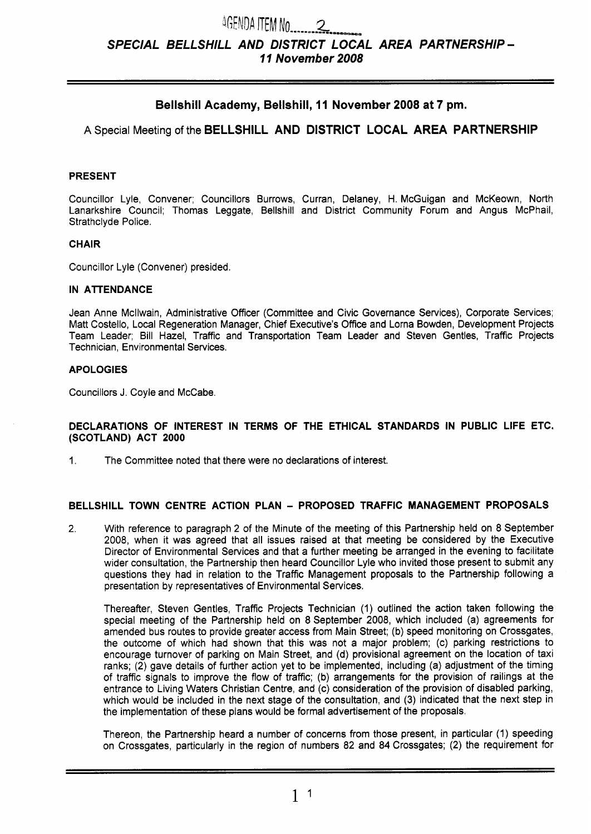# *SPECIAL BELLSHILL AND DISTRICT LOCAL AREA PARTNERSHIP* - **7 7** *November 2008*

# **Bellshill Academy, Bellshill, 11 November 2008 at 7 pm.**

A Special Meeting of the **BELLSHILL AND DISTRICT LOCAL AREA PARTNERSHIP** 

# **PRESENT**

Councillor Lyle, Convener; Councillors Burrows, Curran, Delaney, H. McGuigan and McKeown, North Lanarkshire Council; Thomas Leggate, Bellshill and District Community Forum and Angus McPhail, Strathclyde Police.

# **CHAIR**

Councillor Lyle (Convener) presided.

#### **IN ATENDANCE**

Jean Anne Mcllwain, Administrative Officer (Committee and Civic Governance Services), Corporate Services; Matt Costello, Local Regeneration Manager, Chief Executive's Office and Lorna Bowden, Development Projects Team Leader; Bill Hazel, Traffic and Transportation Team Leader and Steven Gentles, Traffic Projects Technician, Environmental Services.

#### **APOLOGIES**

Councillors J. Coyle and McCabe.

#### **DECLARATIONS OF INTEREST IN TERMS OF THE ETHICAL STANDARDS IN PUBLIC LIFE ETC. (SCOTLAND) ACT 2000**

1. The Committee noted that there were no declarations of interest.

# **BELLSHILL TOWN CENTRE ACTION PLAN** - **PROPOSED TRAFFIC MANAGEMENT PROPOSALS**

2. With reference to paragraph 2 of the Minute of the meeting of this Partnership held on 8 September 2008, when it was agreed that all issues raised at that meeting be considered by the Executive Director of Environmental Services and that a further meeting be arranged in the evening to facilitate wider consultation, the Partnership then heard Councillor Lyle who invited those present to submit any questions they had in relation to the Traffic Management proposals to the Partnership following a presentation by representatives of Environmental Services.

Thereafter, Steven Gentles, Traffic Projects Technician (1) outlined the action taken following the special meeting of the Partnership held on 8 September 2008, which included (a) agreements for amended bus routes to provide greater access from Main Street; **(b)** speed monitoring on Crossgates, the outcome of which had shown that this was not a major problem; (c) parking restrictions to encourage turnover of parking on Main Street, and (d) provisional agreement on the location of taxi ranks; (2) gave details of further action yet to be implemented, including (a) adjustment of the timing of traffic signals to improve the flow of traffic; **(b)** arrangements for the provision of railings at the entrance to Living Waters Christian Centre, and (c) consideration of the provision of disabled parking, which would be included in the next stage of the consultation, and **(3)** indicated that the next step in the implementation of these plans would be formal advertisement of the proposals.

Thereon, the Partnership heard a number of concerns from those present, in particular (1) speeding on Crossgates, particularly in the region of numbers 82 and 84 Crossgates; (2) the requirement for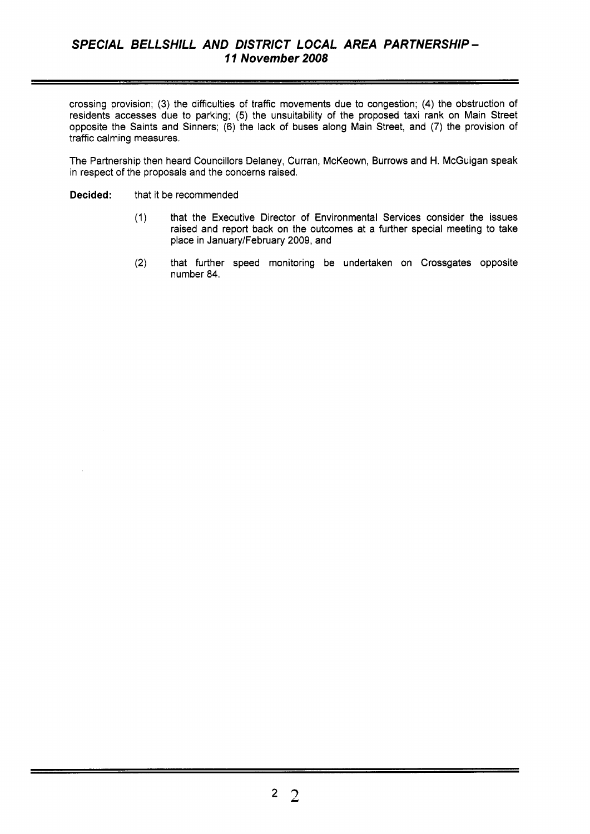crossing provision; (3) the difficulties of traffic movements due to congestion; **(4)** the obstruction of residents accesses due to parking; (5) the unsuitability of the proposed taxi rank on Main Street opposite the Saints and Sinners; (6) the lack of buses along Main Street, and (7) the provision of traffic calming measures.

The Partnership then heard Councillors Delaney, Curran, McKeown, Burrows and H. McGuigan speak in respect of the proposals and the concerns raised.

- **Decided:** that it be recommended
	- (1) that the Executive Director of Environmental Services consider the issues raised and report back on the outcomes at a further special meeting to take place in January/February 2009, and
	- **(2)** that further speed monitoring be undertaken on Crossgates opposite number **84.**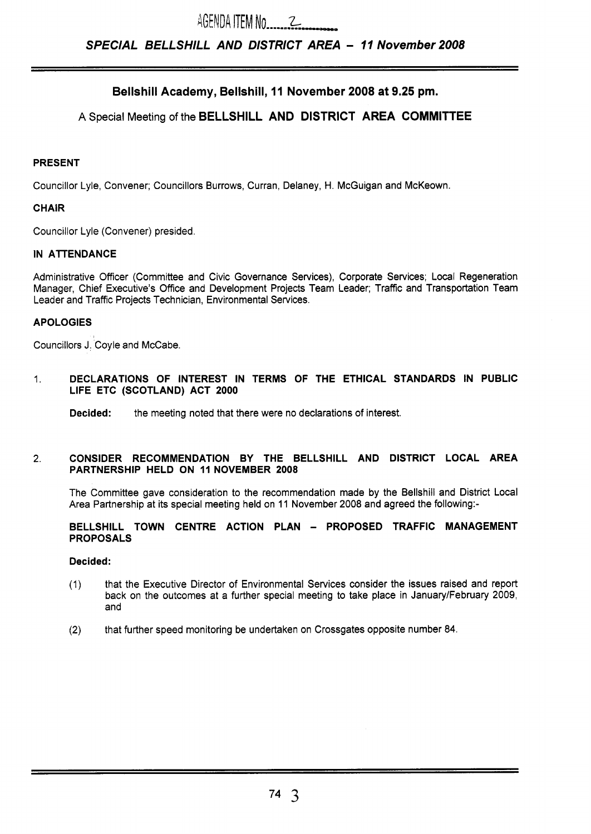# *SPECIAL BELLSHILL AND DISTRICT AREA* - **77** *November 2008*

# **Bellshill Academy, Bellshill, 11 November 2008 at 9.25 pm.**

# A Special Meeting of the **BELLSHILL AND DISTRICT AREA COMMITTEE**

#### **PRESENT**

Councillor Lyle, Convener; Councillors Burrows, Curran, Delaney, **H.** McGuigan and McKeown.

# **CHAIR**

Councillor Lyle (Convener) presided.

# **IN ATTENDANCE**

Administrative Officer (Committee and Civic Governance Services), Corporate Services; Local Regeneration Manager, Chief Executive's Office and Development Projects Team Leader; Traffic and Transportation Team Leader and Traffic Projects Technician, Environmental Services.

# **APOLOGIES**

Councillors J. Coyle and McCabe.

1. **DECLARATIONS OF INTEREST IN TERMS OF THE ETHICAL STANDARDS IN PUBLIC LIFE ETC (SCOTLAND) ACT 2000** 

**Decided:** the meeting noted that there were no declarations of interest.

#### 2. **CONSIDER RECOMMENDATION BY THE BELLSHILL AND DISTRICT LOCAL AREA PARTNERSHIP HELD ON 11 NOVEMBER 2008**

The Committee gave consideration to the recommendation made by the Bellshill and District Local Area Partnership at its special meeting held on 11 November 2008 and agreed the following:-

#### **BELLSHILL TOWN CENTRE ACTION PLAN** - **PROPOSED TRAFFIC MANAGEMENT PROPOSALS**

#### **Decided:**

- (1) that the Executive Director of Environmental Services consider the issues raised and report back on the outcomes at a further special meeting to take place in January/February 2009, and
- **(2)** that further speed monitoring be undertaken on Crossgates opposite number 84.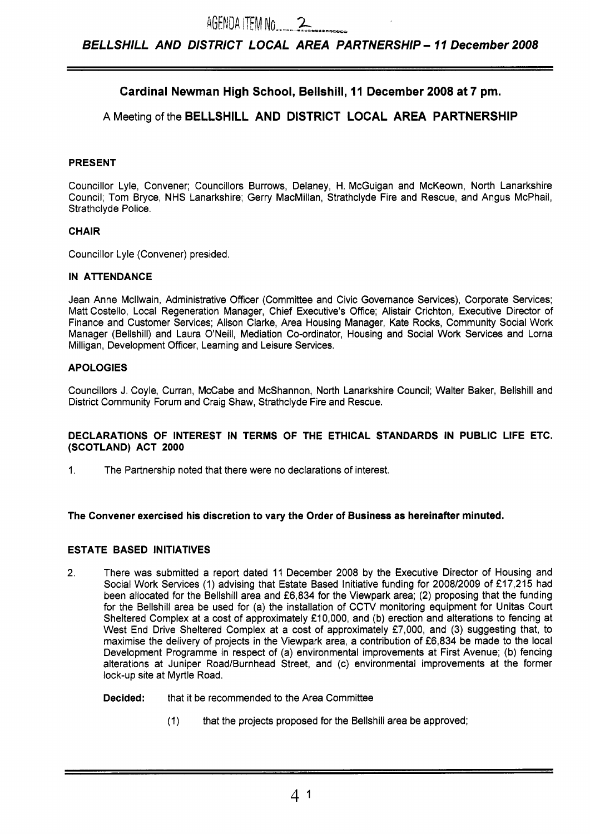# **Cardinal Newman High School, Bellshill, 11 December 2008 at 7 pm.**

# **A** Meeting of the **BELLSHILL AND DISTRICT LOCAL AREA PARTNERSHIP**

# **PRESENT**

Councillor Lyle, Convener; Councillors Burrows, Delaney, H. McGuigan and McKeown, North Lanarkshire Council; Tom Bryce, NHS Lanarkshire; Gerry MacMillan, Strathclyde Fire and Rescue, and Angus McPhail, Strathclyde Police.

#### **CHAIR**

Councillor Lyle (Convener) presided.

#### **IN ATTENDANCE**

Jean Anne Mcllwain, Administrative Officer (Committee and Civic Governance Services), Corporate Services; Matt Costello, Local Regeneration Manager, Chief Executive's Office; Alistair Crichton, Executive Director of Finance and Customer Services; Alison Clarke, Area Housing Manager, Kate Rocks, Community Social Work Manager (Bellshill) and Laura O'Neill, Mediation Co-ordinator, Housing and Social Work Services and Lorna Milligan, Development Officer, Learning and Leisure Services.

# **APOLOGIES**

Councillors J. Coyle, Curran, McCabe and McShannon, North Lanarkshire Council; Walter Baker, Bellshill and District Community Forum and Craig Shaw, Strathclyde Fire and Rescue.

#### **DECLARATIONS OF INTEREST IN TERMS OF THE ETHICAL STANDARDS IN PUBLIC LIFE ETC. (SCOTLAND) ACT 2000**

**1.** The Partnership noted that there were no declarations of interest.

#### **The Convener exercised his discretion to vary the Order of Business as hereinafter minuted.**

# **ESTATE BASED INITIATIVES**

- 2. There was submitted a report dated **11** December **2008** by the Executive Director of Housing and Social Work Services (1) advising that Estate Based Initiative funding for **2008/2009** of **f17,215** had been allocated for the Bellshill area and **f6,834** for the Viewpark area; **(2)** proposing that the funding for the Bellshill area be used for (a) the installation of CCTV monitoring equipment for Unitas Court Sheltered Complex at a cost of approximately **f10,000,** and (b) erection and alterations to fencing at West End Drive Sheltered Complex at a cost of approximately £7,000, and (3) suggesting that, to maximise the delivery of projects in the Viewpark area, a contribution of **f6,834** be made to the local Development Programme in respect of (a) environmental improvements at First Avenue; (b) fencing alterations at Juniper Road/Burnhead Street, and (c) environmental improvements at the former lock-up site at Myrtle Road.
	- **Decided:** that it be recommended to the Area Committee
		- (1) that the projects proposed for the Bellshill area be approved;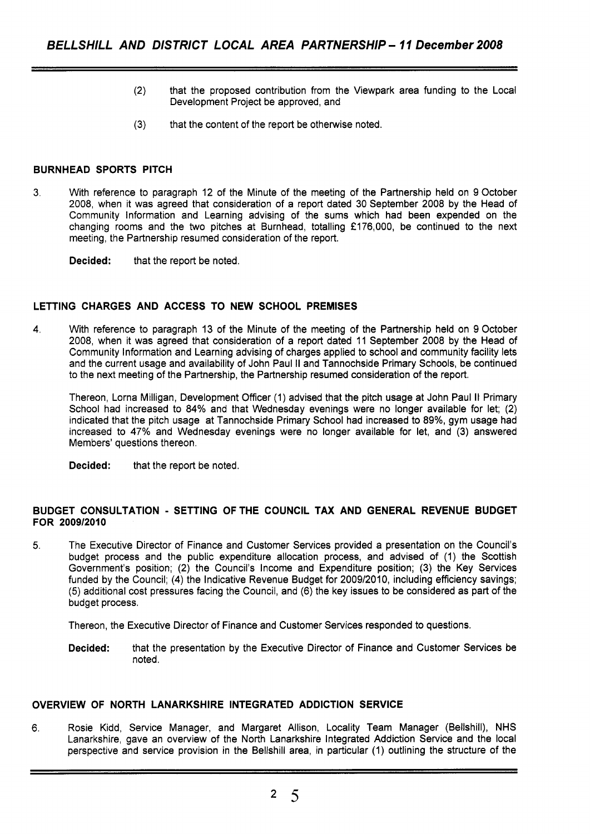- **(2)** that the proposed contribution from the Viewpark area funding to the Local Development Project be approved, and
- **(3)** that the content of the report be otherwise noted.

# **BURNHEAD SPORTS PITCH**

**3.** With reference to paragraph **12** of the Minute of the meeting of the Partnership held on **9** October **2008,** when it was agreed that consideration of a report dated **30** September **2008** by the Head of Community Information and Learning advising of the sums which had been expended on the changing rooms and the two pitches at Burnhead, totalling **f176,000,** be continued to the next meeting, the Partnership resumed consideration of the report.

**Decided:** that the report be noted.

# **LETTING CHARGES AND ACCESS TO NEW SCHOOL PREMISES**

**4.** With reference to paragraph **13** of the Minute of the meeting of the Partnership held on **9** October **2008,** when it was agreed that consideration of a report dated **11** September **2008** by the Head of Community Information and Learning advising of charges applied to school and community facility lets and the current usage and availability of John Paul II and Tannochside Primary Schools, be continued to the next meeting of the Partnership, the Partnership resumed consideration of the report.

Thereon, Lorna Milligan, Development Officer **(1)** advised that the pitch usage at John Paul II Primary School had increased to **84%** and that Wednesday evenings were no longer available for let; **(2)**  indicated that the pitch usage at Tannochside Primary School had increased to **89%,** gym usage had increased to **47%** and Wednesday evenings were no longer available for let, and (3) answered Members' questions thereon.

**Decided:** that the report be noted.

# **BUDGET CONSULTATION** - **SETTING OFTHE COUNCIL TAX AND GENERAL REVENUE BUDGET FOR 2009/2010**

5. The Executive Director of Finance and Customer Services provided a presentation on the Council's budget process and the public expenditure allocation process, and advised of **(1)** the Scottish Government's position; **(2)** the Council's Income and Expenditure position; (3) the Key Services funded by the Council; **(4)** the Indicative Revenue Budget for **2009/2010,** including efficiency savings; (5) additional cost pressures facing the Council, and **(6)** the key issues to be considered as part of the budget process.

Thereon, the Executive Director of Finance and Customer Services responded to questions.

**Decided:** that the presentation by the Executive Director of Finance and Customer Services be noted.

# **OVERVIEW OF NORTH LANARKSHIRE INTEGRATED ADDICTION SERVICE**

6. Rosie Kidd, Service Manager, and Margaret Allison, Locality Team Manager (Bellshill), NHS Lanarkshire, gave an overview of the North Lanarkshire Integrated Addiction Service and the local perspective and service provision in the Bellshill area, in particular **(1)** outlining the structure of the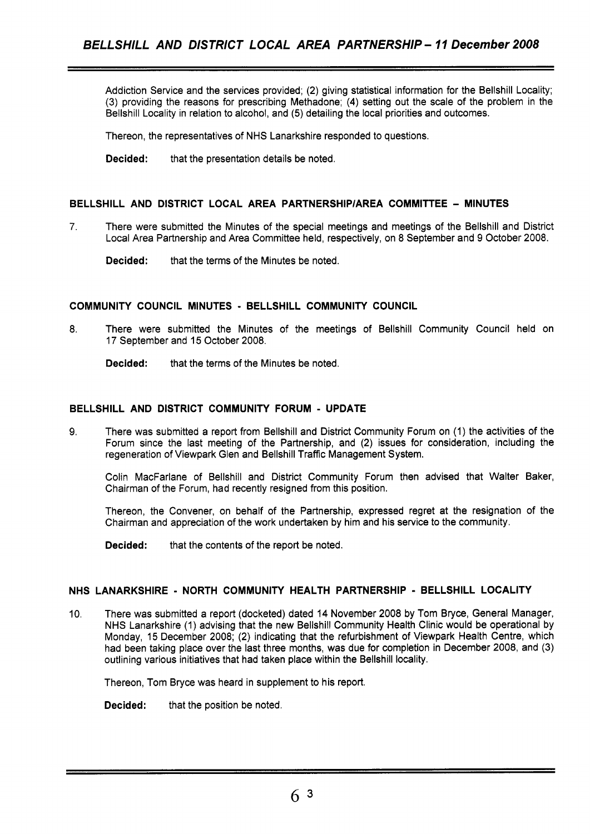Addiction Service and the services provided; (2) giving statistical information for the Bellshill Locality; (3) providing the reasons for prescribing Methadone; **(4)** setting out the scale of the problem in the Bellshill Locality in relation to alcohol, and (5) detailing the local priorities and outcomes.

Thereon, the representatives of NHS Lanarkshire responded to questions.

**Decided:** that the presentation details be noted.

## **BELLSHILL AND DISTRICT LOCAL AREA PARTNERSHlPlAREA COMMITTEE** - **MINUTES**

**7.** There were submitted the Minutes of the special meetings and meetings of the Bellshill and District Local Area Partnership and Area Committee held, respectively, on 8 September and 9 October 2008.

**Decided:** that the terms of the Minutes be noted.

#### **COMMUNITY COUNCIL MINUTES** - **BELLSHILL COMMUNITY COUNCIL**

8. There were submitted the Minutes of the meetings of Bellshill Community Council held on 17 September and 15 October 2008.

**Decided:** that the terms of the Minutes be noted.

## **BELLSHILL AND DISTRICT COMMUNITY FORUM** - **UPDATE**

**9.** There was submitted a report from Bellshill and District Community Forum on (1) the activities of the Forum since the last meeting of the Partnership, and (2) issues for consideration, including the regeneration of Viewpark Glen and Bellshill Traffic Management System.

Colin MacFarlane of Bellshill and District Community Forum then advised that Walter Baker, Chairman of the Forum, had recently resigned from this position.

Thereon, the Convener, on behalf of the Partnership, expressed regret at the resignation of the Chairman and appreciation of the work undertaken by him and his service to the community.

**Decided:** that the contents of the report be noted.

#### **NHS LANARKSHIRE** - **NORTH COMMUNITY HEALTH PARTNERSHIP** - **BELLSHILL LOCALITY**

10. There was submitted a report (docketed) dated 14 November 2008 by Tom Bryce, General Manager, NHS Lanarkshire (1) advising that the new Bellshill Community Health Clinic would be operational by Monday, 15 December 2008; **(2)** indicating that the refurbishment of Viewpark Health Centre, which had been taking place over the last three months, was due for completion in December 2008, and (3) outlining various initiatives that had taken place within the Bellshill locality.

Thereon, Tom Bryce was heard in supplement to his report.

**Decided:** that the position be noted.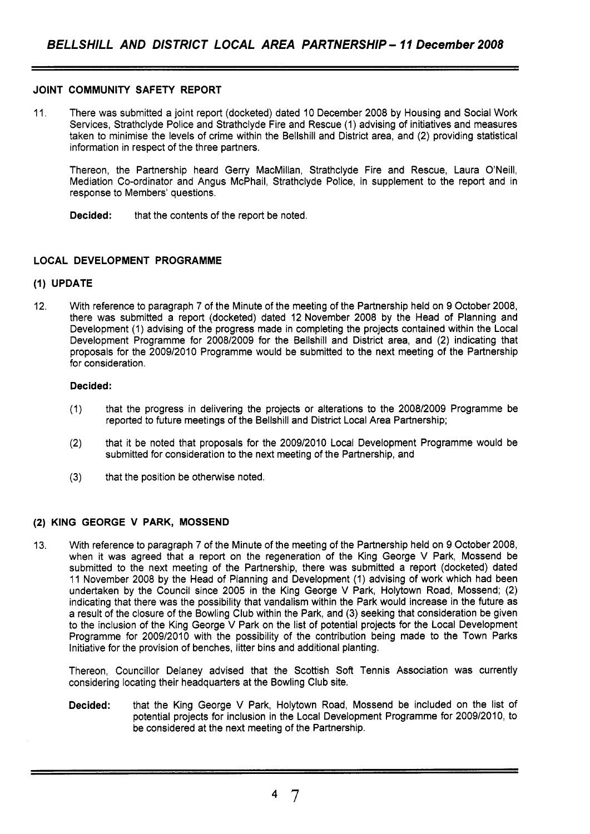#### **JOINT COMMUNITY SAFETY REPORT**

11. There was submitted a joint report (docketed) dated 10 December 2008 by Housing and Social Work Services, Strathclyde Police and Strathclyde Fire and Rescue (1) advising of initiatives and measures taken to minimise the levels of crime within the Bellshill and District area, and (2) providing statistical information in respect of the three partners.

Thereon, the Partnership heard Gerry MacMillan, Strathclyde Fire and Rescue, Laura O'Neill, Mediation Co-ordinator and Angus McPhail, Strathclyde Police, in supplement to the report and in response to Members' questions.

**Decided:** that the contents of the report be noted.

# **LOCAL DEVELOPMENT PROGRAMME**

# **(1) UPDATE**

12. With reference to paragraph 7 of the Minute of the meeting of the Partnership held on 9 October 2008, there was submitted a report (docketed) dated 12 November 2008 by the Head of Planning and Development (1) advising of the progress made in completing the projects contained within the Local Development Programme for 2008/2009 for the Bellshill and District area, and (2) indicating that proposals for the 2009/2010 Programme would be submitted to the next meeting of the Partnership for consideration.

#### **Decided:**

- (1) that the progress in delivering the projects or alterations to the 2008/2009 Programme be reported to future meetings of the Bellshill and District Local Area Partnership;
- (2) that it be noted that proposals for the 2009/2010 Local Development Programme would be submitted for consideration to the next meeting of the Partnership, and
- (3) that the position be otherwise noted.

#### **(2) KING GEORGE V PARK, MOSSEND**

13. With reference to paragraph 7 of the Minute of the meeting of the Partnership held on 9 October 2008, when it was agreed that a report on the regeneration of the King George V Park, Mossend be submitted to the next meeting of the Partnership, there was submitted a report (docketed) dated 11 November 2008 by the Head of Planning and Development (1) advising of work which had been undertaken by the Council since 2005 in the King George V Park, Holytown Road, Mossend; (2) indicating that there was the possibility that vandalism within the Park would increase in the future as a result of the closure of the Bowling Club within the Park, and (3) seeking that consideration be given to the inclusion of the King George V Park on the list of potential projects for the Local Development Programme for 2009/2010 with the possibility of the contribution being made to the Town Parks Initiative for the provision of benches, litter bins and additional planting.

Thereon, Councillor Delaney advised that the Scottish Soft Tennis Association was currently considering locating their headquarters at the Bowling Club site.

**Decided:** that the King George V Park, Holytown Road, Mossend be included on the list of potential projects for inclusion in the Local Development Programme for 2009/2010, to be considered at the next meeting of the Partnership.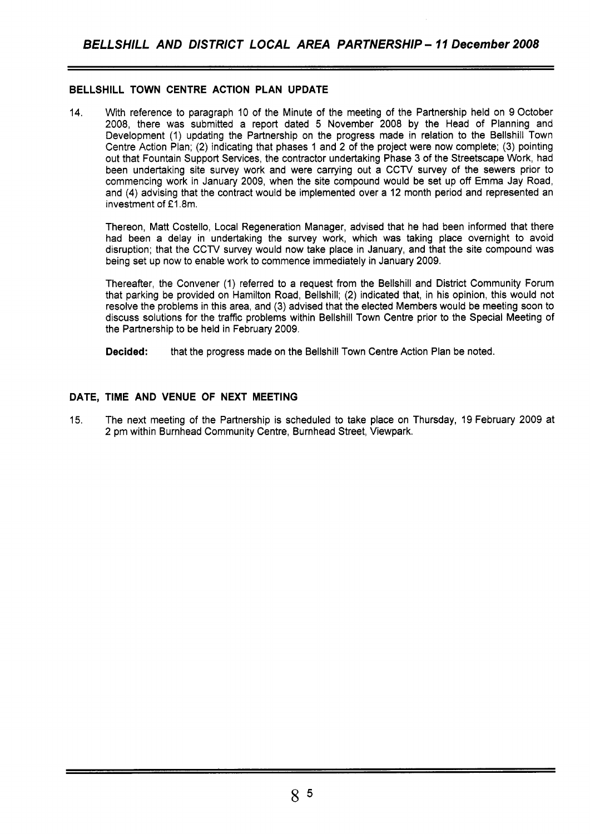# **BELLSHILL TOWN CENTRE ACTION PLAN UPDATE**

14. With reference to paragraph 10 of the Minute of the meeting of the Partnership held on 9 October 2008, there was submitted a report dated 5 November 2008 by the Head of Planning and Development (1) updating the Partnership on the progress made in relation to the Bellshill Town Centre Action Plan; (2) indicating that phases 1 and 2 of the project were now complete; (3) pointing out that Fountain Support Services, the contractor undertaking Phase 3 of the Streetscape Work, had been undertaking site survey work and were carrying out a CCTV survey of the sewers prior to commencing work in January 2009, when the site compound would be set up off Emma Jay Road, and (4) advising that the contract would be implemented over a 12 month period and represented an investment of  $£1.8m$ .

Thereon, Matt Costello, Local Regeneration Manager, advised that he had been informed that there had been a delay in undertaking the survey work, which was taking place overnight to avoid disruption; that the CCTV survey would now take place in January, and that the site compound was being set up now to enable work to commence immediately in January 2009.

Thereafter, the Convener (1) referred to a request from the Bellshill and District Community Forum that parking be provided on Hamilton Road, Bellshill; (2) indicated that, in his opinion, this would not resolve the problems in this area, and (3) advised that the elected Members would be meeting soon to discuss solutions for the traffic problems within Bellshill Town Centre prior to the Special Meeting of the Partnership to be held in February 2009.

**Decided:** that the progress made on the Bellshill Town Centre Action Plan be noted.

# **DATE, TIME AND VENUE OF NEXT MEETING**

15. The next meeting of the Partnership is scheduled to take place on Thursday, 19 February 2009 at 2 pm within Burnhead Community Centre, Burnhead Street, Viewpark.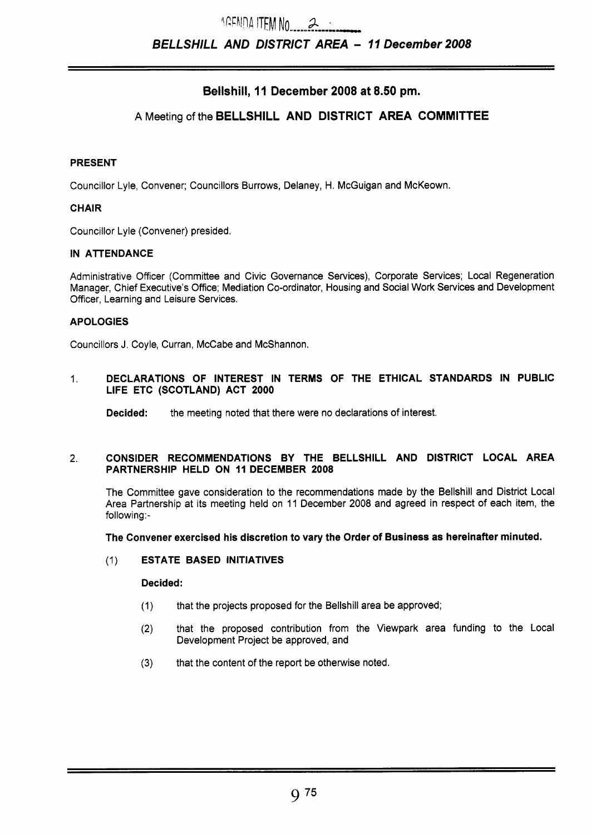# **Bellshill, 11 December 2008 at 8.50 pm.**

# **A** Meeting of the **BELLSHILL AND DISTRICT AREA COMMITTEE**

# **PRESENT**

Councillor Lyle, Convener; Councillors Burrows, Delaney, H. McGuigan and McKeown.

# **CHAIR**

Councillor Lyle (Convener) presided.

# **IN ATENDANCE**

Administrative Officer (Committee and Civic Governance Services), Corporate Services; Local Regeneration Manager, Chief Executive's Office; Mediation Co-ordinator, Housing and Social Work Services and Development Officer, Learning and Leisure Services.

#### **APOLOGIES**

Councillors J. Coyle, Curran, McCabe and McShannon.

~ ~ ~

# 1. **DECLARATIONS OF INTEREST IN TERMS OF THE ETHICAL STANDARDS IN PUBLIC LIFE ETC (SCOTLAND) ACT 2000**

**Decided:** the meeting noted that there were no declarations of interest.

#### **2. CONSIDER RECOMMENDATIONS BY THE BELLSHILL AND DISTRICT LOCAL AREA PARTNERSHIP HELD ON 11 DECEMBER 2008**

The Committee gave consideration to the recommendations made by the Bellshill and District Local Area Partnership at its meeting held on 11 December 2008 and agreed in respect of each item, the following:-

#### **The Convener exercised his discretion to vary the Order of Business as hereinafter minuted.**

# (1) **ESTATE BASED INITIATIVES**

## **Decided:**

- (1) that the projects proposed for the Bellshill area be approved;
- **(2)** that the proposed contribution from the Viewpark area funding to the Local Development Project be approved, and
- **(3)** that the content of the report be otherwise noted.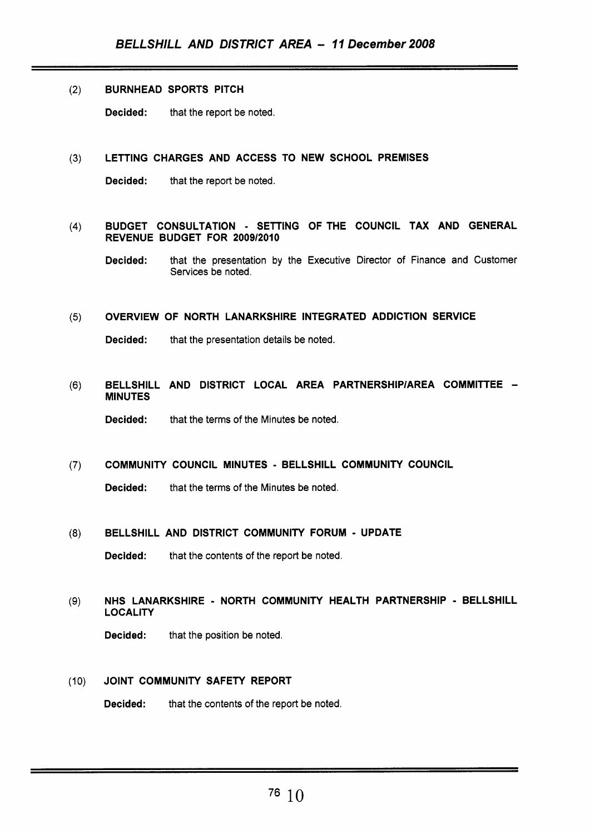#### (2) BURNHEAD SPORTS PITCH

Decided: that the report be noted.

## **(3)** LETTING CHARGES AND ACCESS TO NEW SCHOOL PREMISES

Decided: that the report be noted.

# (4) BUDGET CONSULTATION - SETTING OFTHE COUNCIL TAX AND GENERAL REVENUE BUDGET FOR 2009/2010

Decided: that the presentation by the Executive Director of Finance and Customer Services be noted.

#### (5) OVERVIEW OF NORTH LANARKSHIRE INTEGRATED ADDICTION SERVICE

Decided: that the presentation details be noted.

(6) BELLSHILL AND DISTRICT LOCAL AREA PARTNERSHIPIAREA COMMITTEE - MINUTES

Decided: that the terms of the Minutes be noted.

# **(7)** COMMUNITY COUNCIL MINUTES - BELLSHILL COMMUNITY COUNCIL

Decided: that the terms of the Minutes be noted.

#### **(8)** BELLSHILL AND DISTRICT COMMUNITY FORUM - UPDATE

Decided: that the contents of the report be noted.

# **(9)** NHS LANARKSHIRE - NORTH COMMUNITY HEALTH PARTNERSHIP - BELLSHILL LOCALITY

Decided: that the position be noted.

# (10) JOINT COMMUNITY SAFETY REPORT

Decided: that the contents of the report be noted.